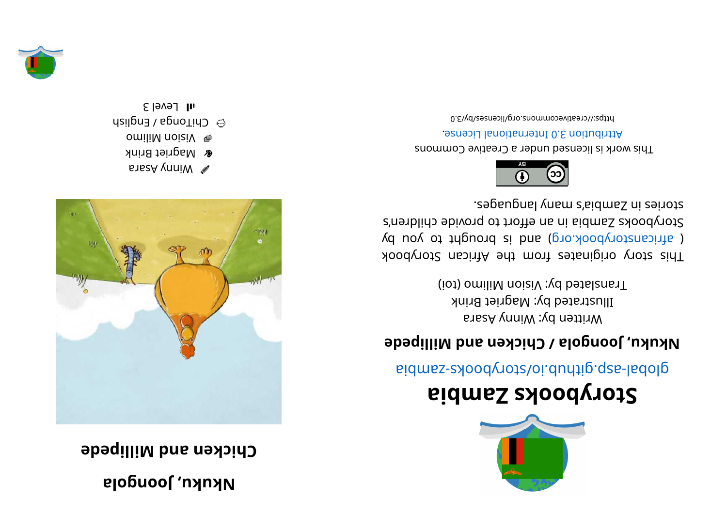## **al ognooJ , ukuk N**

**eddilli Millipede** 



- **B** Winny Asara
- **&** Magriet Brink omiliM noi iV %
- $\alpha$  ChiTonga / English

 $s$ l Level 3



## **ai b maZ skoobyr otS**

aidmss- abodynot sloi. during. q za bid

## **edually**  $\alpha$  **depending**  $\alpha$  **butchs network network network network network network network network network network network network network network network network network network**

Written by: Winny Asara Illustrated by: Magriet Brink (iot) omiliM noiziV :  $\chi$ d betal anno

kood yot a kiginates from the African Storybook ( africanstorybook.org) and is brought to you by Storybooks Zandia in an effort to provide children's segaugnal ynam s'sidmsS ni esiyote.



This work is licensed under a Creative Commons . esnecial lanoit and the change.

bttps://creativecommons.org/licenses/by/3.0

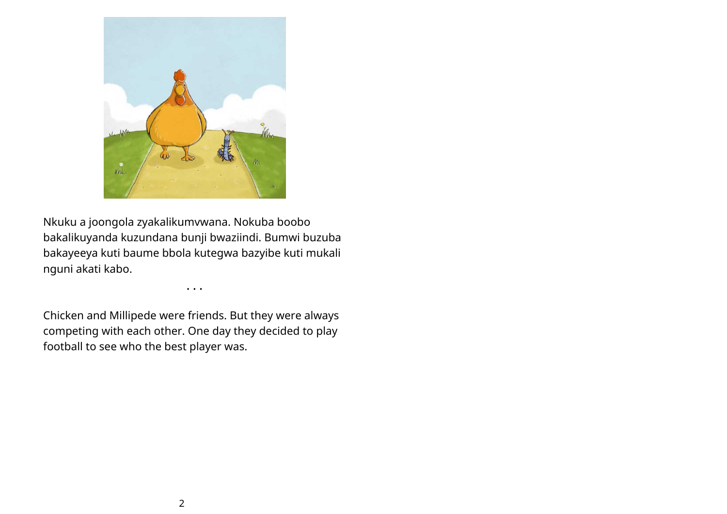

Nkuku a joongola zyakalikumvwana. Nokuba boobo bakalikuyanda kuzundana bunji bwaziindi. Bumwi buzuba bakayeeya kuti baume bbola kutegwa bazyibe kuti mukali nguni akati kabo.

• • •

Chicken and Millipede were friends. But they were always competing with each other. One day they decided to play football to see who the best player was.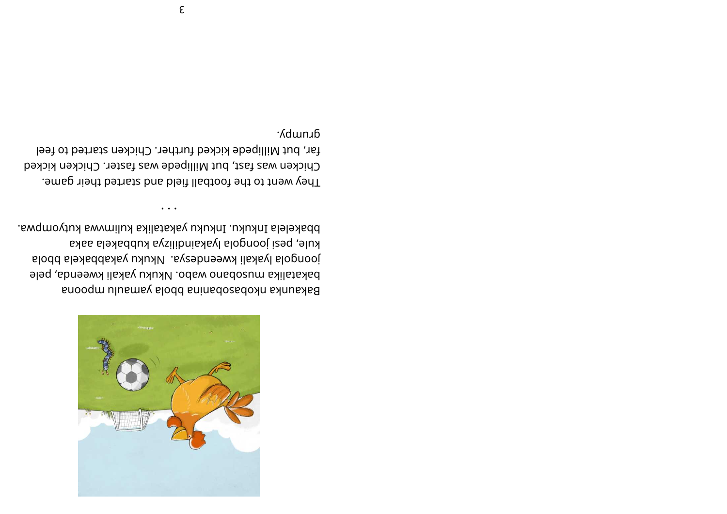

bbakelela Inkuku. Inkuku yakatalika kulimvwa kutyompwa. kule, pesi joongola lyakaindilizya kubbakela aaka joongola lyakali kweendesya. Nkuku yakabbakela bbola bakatalika musobano wabo. Nkuku yakali kweenda, pele Bakaunka nkobasobanina bbola yamaulu mpoona

 $\bullet\quad\bullet\quad\bullet$ 

Grumpy. far, but Millipede kicked further. Chicken started to feel Chicken was fast, but Millipede was faster. Chicken kicked They went to the football field and started their game.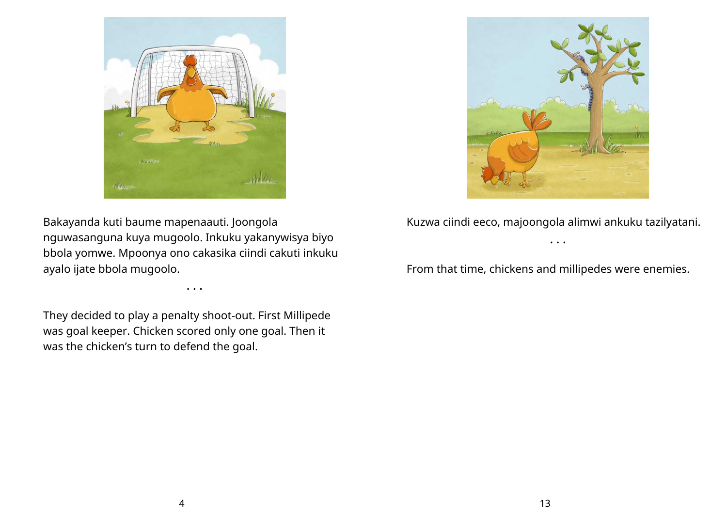

Bakayanda kuti baume mapenaauti. Joongola nguwasanguna kuya mugoolo. Inkuku yakanywisya biyo bbola yomwe. Mpoonya ono cakasika ciindi cakuti inkuku ayalo ijate bbola mugoolo.

• • •

They decided to play a penalty shoot-out. First Millipede was goal keeper. Chicken scored only one goal. Then it was the chicken's turn to defend the goal.



Kuzwa ciindi eeco, majoongola alimwi ankuku tazilyatani. • • •

From that time, chickens and millipedes were enemies.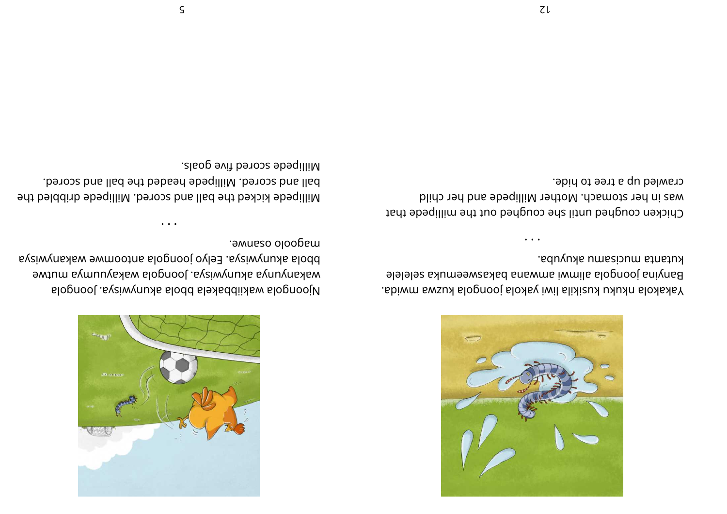

. abiwm swsux alognooj aloxay iwil alixizux uxuxn aloxaxaY el el el es aku mee wsakab ana w mai w mil <sup>a</sup> al ognooj ani ynaB kutanta mucisamu akuyuba.

• • •

Chicken coughed until she coughed out the millipede that was in her stomach. Mother Millipede and her child crawled up a tree to hide.



alognool . aysiwynuxa alodd alexaddiixaw alognooj $$ ewt um makan muwisya bongola wakayuunya ayata wa aysiwynaka warootna alognooj oylea. aysiwynuka alodd . <del>o</del>wnaso oloopam

eht belddinb ebeqilliM .beroze ban all ad eht bekilli M bell and scored. Millipede headed the ball and scored. . sl sog evit berose ebeqilli M

• • •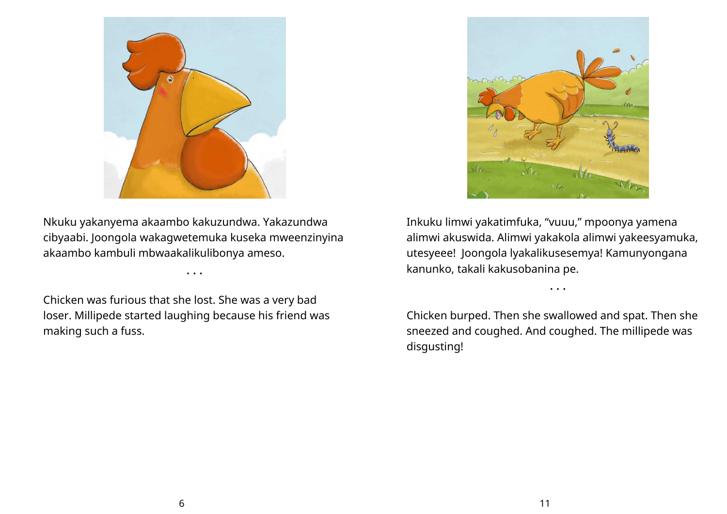

Nkuku yakanyema akaambo kakuzundwa. Yakazundwa cibyaabi. Joongola wakagwetemuka kuseka mweenzinyina akaambo kambuli mbwaakalikulibonya ameso.

• • •

Chicken was furious that she lost. She was a very bad loser. Millipede started laughing because his friend was making such a fuss.



Inkuku limwi yakatimfuka, "vuuu," mpoonya yamena alimwi akuswida. Alimwi yakakola alimwi yakeesyamuka, utesyeee! Joongola lyakalikusesemya! Kamunyongana kanunko, takali kakusobanina pe.

• • •

Chicken burped. Then she swallowed and spat. Then she sneezed and coughed. And coughed. The millipede was disgusting!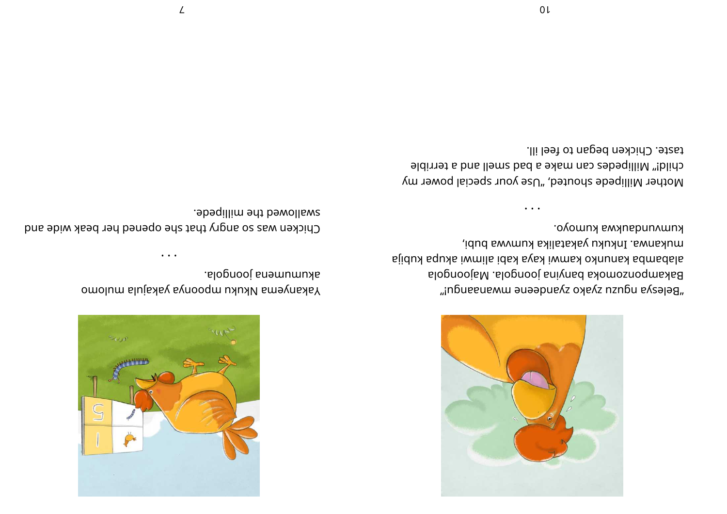

kumvundankwa kumoyo. mukanwa. Inkuku yakatalika kumwa bubi, slidux squxs iwmils idsx sysa iwmsx oxnunsx sdmsdsls slopnooisM .slopnooi snivnad sxomosnoqmsxa8 "inɓueeuewm ənəəbue kz oye kz nzn bu e ksələg

taste. Chicken began to feel ill. child!" Millipedes can make a bad smell and a terrible Mother Millipede shouted, "Use your special power my



akumumena joongola. omolum slujskey synooqm uxuxly smoluskey

swallowed the millipede. Chicken was so angry that she opened her beak wide and